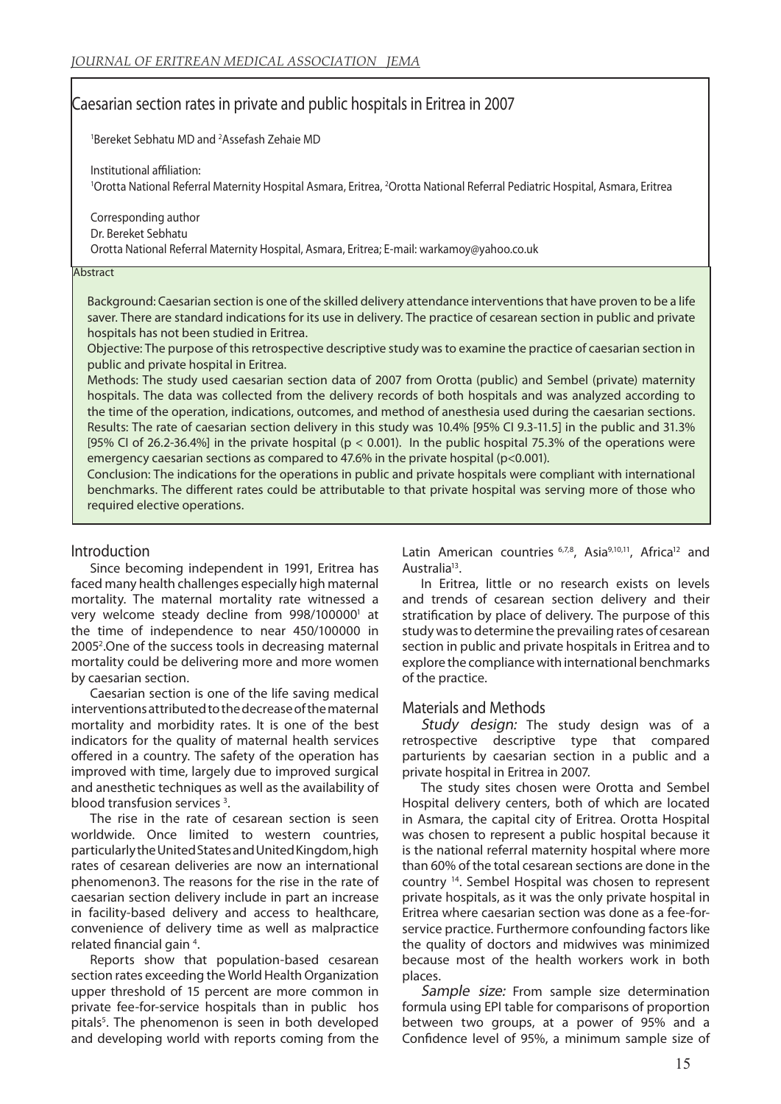# Caesarian section rates in private and public hospitals in Eritrea in 2007

1 Bereket Sebhatu MD and 2 Assefash Zehaie MD

Institutional affiliation:

'Orotta National Referral Maternity Hospital Asmara, Eritrea, <sup>2</sup>Orotta National Referral Pediatric Hospital, Asmara, Eritrea

Corresponding author Dr. Bereket Sebhatu

Orotta National Referral Maternity Hospital, Asmara, Eritrea; E-mail: warkamoy@yahoo.co.uk

#### **Abstract**

Background: Caesarian section is one of the skilled delivery attendance interventions that have proven to be a life saver. There are standard indications for its use in delivery. The practice of cesarean section in public and private hospitals has not been studied in Eritrea.

Objective: The purpose of this retrospective descriptive study was to examine the practice of caesarian section in public and private hospital in Eritrea.

Methods: The study used caesarian section data of 2007 from Orotta (public) and Sembel (private) maternity hospitals. The data was collected from the delivery records of both hospitals and was analyzed according to the time of the operation, indications, outcomes, and method of anesthesia used during the caesarian sections. Results: The rate of caesarian section delivery in this study was 10.4% [95% CI 9.3-11.5] in the public and 31.3% [95% CI of 26.2-36.4%] in the private hospital ( $p < 0.001$ ). In the public hospital 75.3% of the operations were emergency caesarian sections as compared to 47.6% in the private hospital (p<0.001).

Conclusion: The indications for the operations in public and private hospitals were compliant with international benchmarks. The different rates could be attributable to that private hospital was serving more of those who required elective operations.

### Introduction

Since becoming independent in 1991, Eritrea has faced many health challenges especially high maternal mortality. The maternal mortality rate witnessed a very welcome steady decline from 998/100000<sup>1</sup> at the time of independence to near 450/100000 in 20052 .One of the success tools in decreasing maternal mortality could be delivering more and more women by caesarian section.

Caesarian section is one of the life saving medical interventions attributed to the decrease of the maternal mortality and morbidity rates. It is one of the best indicators for the quality of maternal health services offered in a country. The safety of the operation has improved with time, largely due to improved surgical and anesthetic techniques as well as the availability of blood transfusion services 3 .

The rise in the rate of cesarean section is seen worldwide. Once limited to western countries, particularly the United States and United Kingdom, high rates of cesarean deliveries are now an international phenomenon3. The reasons for the rise in the rate of caesarian section delivery include in part an increase in facility-based delivery and access to healthcare, convenience of delivery time as well as malpractice related financial gain <sup>4</sup>.

Reports show that population-based cesarean section rates exceeding the World Health Organization upper threshold of 15 percent are more common in private fee-for-service hospitals than in public hos pitals<sup>5</sup>. The phenomenon is seen in both developed and developing world with reports coming from the

Latin American countries <sup>6,7,8</sup>, Asia<sup>9,10,11</sup>, Africa<sup>12</sup> and Australia<sup>13</sup>.

In Eritrea, little or no research exists on levels and trends of cesarean section delivery and their stratification by place of delivery. The purpose of this study was to determine the prevailing rates of cesarean section in public and private hospitals in Eritrea and to explore the compliance with international benchmarks of the practice.

### Materials and Methods

Study design: The study design was of a retrospective descriptive type that compared parturients by caesarian section in a public and a private hospital in Eritrea in 2007.

The study sites chosen were Orotta and Sembel Hospital delivery centers, both of which are located in Asmara, the capital city of Eritrea. Orotta Hospital was chosen to represent a public hospital because it is the national referral maternity hospital where more than 60% of the total cesarean sections are done in the country 14. Sembel Hospital was chosen to represent private hospitals, as it was the only private hospital in Eritrea where caesarian section was done as a fee-forservice practice. Furthermore confounding factors like the quality of doctors and midwives was minimized because most of the health workers work in both places.

Sample size: From sample size determination formula using EPI table for comparisons of proportion between two groups, at a power of 95% and a Confidence level of 95%, a minimum sample size of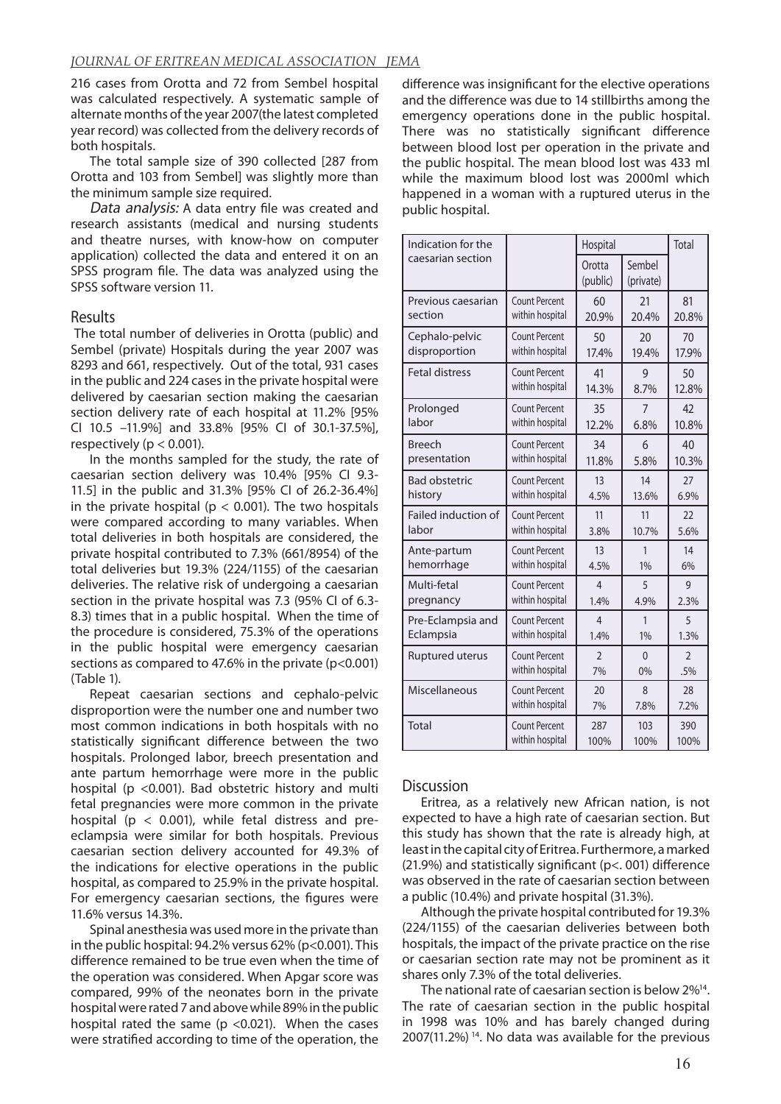216 cases from Orotta and 72 from Sembel hospital was calculated respectively. A systematic sample of alternate months of the year 2007(the latest completed year record) was collected from the delivery records of both hospitals.

The total sample size of 390 collected [287 from Orotta and 103 from Sembel] was slightly more than the minimum sample size required.

Data analysis: A data entry file was created and research assistants (medical and nursing students and theatre nurses, with know-how on computer application) collected the data and entered it on an SPSS program file. The data was analyzed using the SPSS software version 11.

#### Results

The total number of deliveries in Orotta (public) and Sembel (private) Hospitals during the year 2007 was 8293 and 661, respectively. Out of the total, 931 cases in the public and 224 cases in the private hospital were delivered by caesarian section making the caesarian section delivery rate of each hospital at 11.2% [95% CI 10.5 –11.9%] and 33.8% [95% CI of 30.1-37.5%], respectively ( $p < 0.001$ ).

In the months sampled for the study, the rate of caesarian section delivery was 10.4% [95% CI 9.3- 11.5] in the public and 31.3% [95% CI of 26.2-36.4%] in the private hospital ( $p < 0.001$ ). The two hospitals were compared according to many variables. When total deliveries in both hospitals are considered, the private hospital contributed to 7.3% (661/8954) of the total deliveries but 19.3% (224/1155) of the caesarian deliveries. The relative risk of undergoing a caesarian section in the private hospital was 7.3 (95% CI of 6.3- 8.3) times that in a public hospital. When the time of the procedure is considered, 75.3% of the operations in the public hospital were emergency caesarian sections as compared to 47.6% in the private  $(p<0.001)$ (Table 1).

Repeat caesarian sections and cephalo-pelvic disproportion were the number one and number two most common indications in both hospitals with no statistically significant difference between the two hospitals. Prolonged labor, breech presentation and ante partum hemorrhage were more in the public hospital (p <0.001). Bad obstetric history and multi fetal pregnancies were more common in the private hospital ( $p < 0.001$ ), while fetal distress and preeclampsia were similar for both hospitals. Previous caesarian section delivery accounted for 49.3% of the indications for elective operations in the public hospital, as compared to 25.9% in the private hospital. For emergency caesarian sections, the figures were 11.6% versus 14.3%.

Spinal anesthesia was used more in the private than in the public hospital: 94.2% versus 62% (p<0.001). This difference remained to be true even when the time of the operation was considered. When Apgar score was compared, 99% of the neonates born in the private hospital were rated 7 and above while 89% in the public hospital rated the same ( $p$  <0.021). When the cases were stratified according to time of the operation, the

difference was insignificant for the elective operations and the difference was due to 14 stillbirths among the emergency operations done in the public hospital. There was no statistically significant difference between blood lost per operation in the private and the public hospital. The mean blood lost was 433 ml while the maximum blood lost was 2000ml which happened in a woman with a ruptured uterus in the public hospital.

| Indication for the     |                      | Hospital           |                     | Total          |
|------------------------|----------------------|--------------------|---------------------|----------------|
| caesarian section      |                      | Orotta<br>(public) | Sembel<br>(private) |                |
| Previous caesarian     | <b>Count Percent</b> | 60                 | 21                  | 81             |
| section                | within hospital      | 20.9%              | 20.4%               | 20.8%          |
| Cephalo-pelvic         | <b>Count Percent</b> | 50                 | 20                  | 70             |
| disproportion          | within hospital      | 17.4%              | 19.4%               | 17.9%          |
| <b>Fetal distress</b>  | <b>Count Percent</b> | 41                 | 9                   | 50             |
|                        | within hospital      | 14.3%              | 8.7%                | 12.8%          |
| Prolonged              | <b>Count Percent</b> | 35                 | 7                   | 42             |
| labor                  | within hospital      | 12.2%              | 6.8%                | 10.8%          |
| <b>Breech</b>          | <b>Count Percent</b> | 34                 | 6                   | 40             |
| presentation           | within hospital      | 11.8%              | 5.8%                | 10.3%          |
| <b>Bad obstetric</b>   | <b>Count Percent</b> | 13                 | 14                  | 27             |
| history                | within hospital      | 4.5%               | 13.6%               | 6.9%           |
| Failed induction of    | <b>Count Percent</b> | 11                 | 11                  | 22             |
| labor                  | within hospital      | 3.8%               | 10.7%               | 5.6%           |
| Ante-partum            | <b>Count Percent</b> | 13                 | 1                   | 14             |
| hemorrhage             | within hospital      | 4.5%               | 1%                  | 6%             |
| Multi-fetal            | <b>Count Percent</b> | 4                  | 5                   | 9              |
| pregnancy              | within hospital      | 1.4%               | 4.9%                | 2.3%           |
| Pre-Eclampsia and      | <b>Count Percent</b> | 4                  | 1                   | 5              |
| Eclampsia              | within hospital      | 1.4%               | 1%                  | 1.3%           |
| <b>Ruptured uterus</b> | <b>Count Percent</b> | $\mathfrak{D}$     | $\Omega$            | $\mathfrak{D}$ |
|                        | within hospital      | 7%                 | 0%                  | .5%            |
| Miscellaneous          | <b>Count Percent</b> | 20                 | 8                   | 28             |
|                        | within hospital      | 7%                 | 7.8%                | 7.2%           |
| <b>Total</b>           | <b>Count Percent</b> | 287                | 103                 | 390            |
|                        | within hospital      | 100%               | 100%                | 100%           |

#### **Discussion**

Eritrea, as a relatively new African nation, is not expected to have a high rate of caesarian section. But this study has shown that the rate is already high, at least in the capital city of Eritrea. Furthermore, a marked (21.9%) and statistically significant (p<. 001) difference was observed in the rate of caesarian section between a public (10.4%) and private hospital (31.3%).

Although the private hospital contributed for 19.3% (224/1155) of the caesarian deliveries between both hospitals, the impact of the private practice on the rise or caesarian section rate may not be prominent as it shares only 7.3% of the total deliveries.

The national rate of caesarian section is below 2%14. The rate of caesarian section in the public hospital in 1998 was 10% and has barely changed during  $2007(11.2%)$ <sup>14</sup>. No data was available for the previous